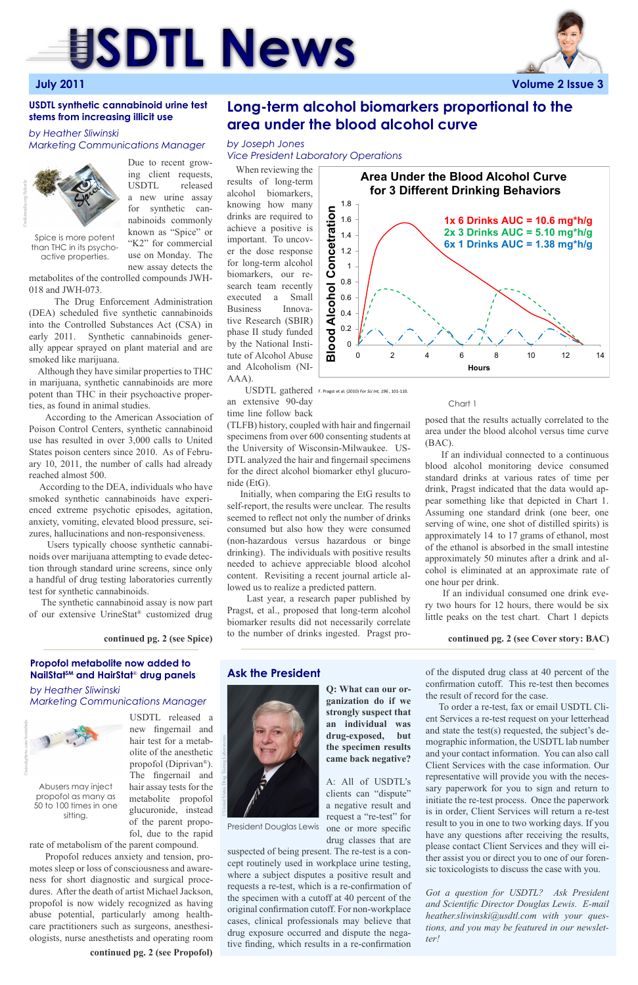



# **Long-term alcohol biomarkers proportional to the area under the blood alcohol curve**

# **Propofol metabolite now added to NailStatSM and HairStat**® **drug panels**

USDTL released a

new fingernail and hair test for a metabolite of the anesthetic propofol (Diprivan®). The fingernail and hair assay tests for the metabolite propofol glucuronide, instead of the parent propofol, due to the rapid

rate of metabolism of the parent compound.

 Propofol reduces anxiety and tension, promotes sleep or loss of consciousness and awareness for short diagnostic and surgical procedures. After the death of artist Michael Jackson, propofol is now widely recognized as having abuse potential, particularly among healthcare practitioners such as surgeons, anesthesiologists, nurse anesthetists and operating room

 Due to recent growing client requests, USDTL released a new urine assay for synthetic cannabinoids commonly known as "Spice" or "K2" for commercial use on Monday. The new assay detects the

metabolites of the controlled compounds JWH-018 and JWH-073.

 The Drug Enforcement Administration (DEA) scheduled five synthetic cannabinoids into the Controlled Substances Act (CSA) in early 2011. Synthetic cannabinoids generally appear sprayed on plant material and are smoked like marijuana.

 Although they have similar properties to THC in marijuana, synthetic cannabinoids are more potent than THC in their psychoactive properties, as found in animal studies.

 According to the American Association of Poison Control Centers, synthetic cannabinoid use has resulted in over 3,000 calls to United States poison centers since 2010. As of February 10, 2011, the number of calls had already reached almost 500.

 According to the DEA, individuals who have smoked synthetic cannabinoids have experienced extreme psychotic episodes, agitation, anxiety, vomiting, elevated blood pressure, seizures, hallucinations and non-responsiveness.

 Users typically choose synthetic cannabinoids over marijuana attempting to evade detection through standard urine screens, since only a handful of drug testing laboratories currently test for synthetic cannabinoids.

 The synthetic cannabinoid assay is now part of our extensive UrineStat® customized drug

# **USDTL synthetic cannabinoid urine test stems from increasing illicit use**

# *by Heather Sliwinski Marketing Communications Manager*

*by Heather Sliwinski Marketing Communications Manager* *by Joseph Jones Vice President Laboratory Operations*

 When reviewing the results of long-term alcohol biomarkers, knowing how many drinks are required to achieve a positive is important. To uncover the dose response for long-term alcohol biomarkers, our research team recently executed a Small Business Innovative Research (SBIR) phase II study funded by the National Institute of Alcohol Abuse and Alcoholism (NI-AAA).

**Ask the President** of the disputed drug class at 40 percent of the confirmation cutoff. This re-test then becomes the result of record for the case.

an extensive 90-day time line follow back

(TLFB) history, coupled with hair and fingernail specimens from over 600 consenting students at the University of Wisconsin-Milwaukee. US-DTL analyzed the hair and fingernail specimens for the direct alcohol biomarker ethyl glucuronide (EtG).

 Initially, when comparing the EtG results to self-report, the results were unclear. The results seemed to reflect not only the number of drinks consumed but also how they were consumed (non-hazardous versus hazardous or binge drinking). The individuals with positive results needed to achieve appreciable blood alcohol content. Revisiting a recent journal article allowed us to realize a predicted pattern.

Abusers may inject propofol as many as 50 to 100 times in one sitting.

 Last year, a research paper published by Pragst, et al., proposed that long-term alcohol biomarker results did not necessarily correlate to the number of drinks ingested. Pragst pro-



USDTL gathered F. Pragst et al. (2010) *For Sci Int, 196* , 101-110.



posed that the results actually correlated to the area under the blood alcohol versus time curve (BAC).

 If an individual connected to a continuous blood alcohol monitoring device consumed standard drinks at various rates of time per drink, Pragst indicated that the data would appear something like that depicted in Chart 1. Assuming one standard drink (one beer, one serving of wine, one shot of distilled spirits) is approximately 14 to 17 grams of ethanol, most of the ethanol is absorbed in the small intestine approximately 50 minutes after a drink and alcohol is eliminated at an approximate rate of one hour per drink.

 If an individual consumed one drink every two hours for 12 hours, there would be six little peaks on the test chart. Chart 1 depicts



### Chart 1

**continued pg. 2 (see Spice)**

©United States Drug Testing Laboratories

**Q: What can our organization do if we strongly suspect that an individual was drug-exposed, but the specimen results came back negative?**

> A: All of USDTL's clients can "dispute" a negative result and request a "re-test" for one or more specific drug classes that are

suspected of being present. The re-test is a concept routinely used in workplace urine testing, where a subject disputes a positive result and requests a re-test, which is a re-confirmation of the specimen with a cutoff at 40 percent of the original confirmation cutoff. For non-workplace cases, clinical professionals may believe that drug exposure occurred and dispute the negative finding, which results in a re-confirmation

 To order a re-test, fax or email USDTL Client Services a re-test request on your letterhead and state the test(s) requested, the subject's demographic information, the USDTL lab number and your contact information. You can also call Client Services with the case information. Our representative will provide you with the necessary paperwork for you to sign and return to initiate the re-test process. Once the paperwork is in order, Client Services will return a re-test result to you in one to two working days. If you have any questions after receiving the results, please contact Client Services and they will either assist you or direct you to one of our forensic toxicologists to discuss the case with you.

*Got a question for USDTL? Ask President and Scientific Director Douglas Lewis. E-mail heather.sliwinski@usdtl.com with your questions, and you may be featured in our newsletter!*

**continued pg. 2 (see Propofol)**

Spice is more potent than THC in its psychoactive properties.

**continued pg. 2 (see Cover story: BAC)**



President Douglas Lewis